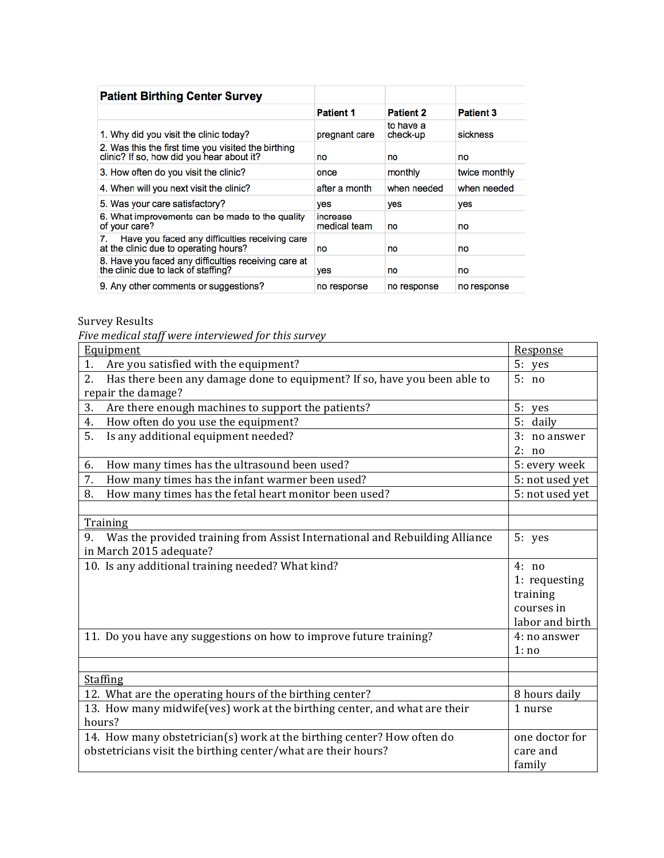| <b>Patient Birthing Center Survey</b>                                                            |                          |                       |                  |
|--------------------------------------------------------------------------------------------------|--------------------------|-----------------------|------------------|
|                                                                                                  | <b>Patient 1</b>         | <b>Patient 2</b>      | <b>Patient 3</b> |
| 1. Why did you visit the clinic today?                                                           | pregnant care            | to have a<br>check-up | sickness         |
| 2. Was this the first time you visited the birthing<br>clinic? If so, how did you hear about it? | no                       | no                    | no               |
| 3. How often do you visit the clinic?                                                            | once                     | monthly               | twice monthly    |
| 4. When will you next visit the clinic?                                                          | after a month            | when needed           | when needed      |
| 5. Was your care satisfactory?                                                                   | yes                      | yes                   | yes              |
| 6. What improvements can be made to the quality<br>of your care?                                 | increase<br>medical team | no                    | no               |
| Have you faced any difficulties receiving care<br>at the clinic due to operating hours?          | no                       | no                    | no               |
| 8. Have you faced any difficulties receiving care at<br>the clinic due to lack of staffing?      | yes                      | no                    | no               |
| 9. Any other comments or suggestions?                                                            | no response              | no response           | no response      |

## Survey Results

*Five medical staff were interviewed for this survey*

| Equipment                                                                         | Response        |
|-----------------------------------------------------------------------------------|-----------------|
| Are you satisfied with the equipment?<br>1.                                       | 5: yes          |
| Has there been any damage done to equipment? If so, have you been able to<br>2.   | 5: no           |
| repair the damage?                                                                |                 |
| Are there enough machines to support the patients?<br>3.                          | 5: yes          |
| How often do you use the equipment?<br>4.                                         | 5: daily        |
| Is any additional equipment needed?<br>5.                                         | 3: no answer    |
|                                                                                   | 2: no           |
| How many times has the ultrasound been used?<br>6.                                | 5: every week   |
| 7.<br>How many times has the infant warmer been used?                             | 5: not used yet |
| How many times has the fetal heart monitor been used?<br>8.                       | 5: not used yet |
|                                                                                   |                 |
| Training                                                                          |                 |
| Was the provided training from Assist International and Rebuilding Alliance<br>9. | 5: yes          |
| in March 2015 adequate?                                                           |                 |
| 10. Is any additional training needed? What kind?                                 | 4: no           |
|                                                                                   | 1: requesting   |
|                                                                                   | training        |
|                                                                                   | courses in      |
|                                                                                   | labor and birth |
| 11. Do you have any suggestions on how to improve future training?                | 4: no answer    |
|                                                                                   | 1:no            |
|                                                                                   |                 |
| <b>Staffing</b>                                                                   |                 |
| 12. What are the operating hours of the birthing center?                          | 8 hours daily   |
| 13. How many midwife(ves) work at the birthing center, and what are their         | 1 nurse         |
| hours?                                                                            |                 |
| 14. How many obstetrician(s) work at the birthing center? How often do            | one doctor for  |
| obstetricians visit the birthing center/what are their hours?                     | care and        |
|                                                                                   | family          |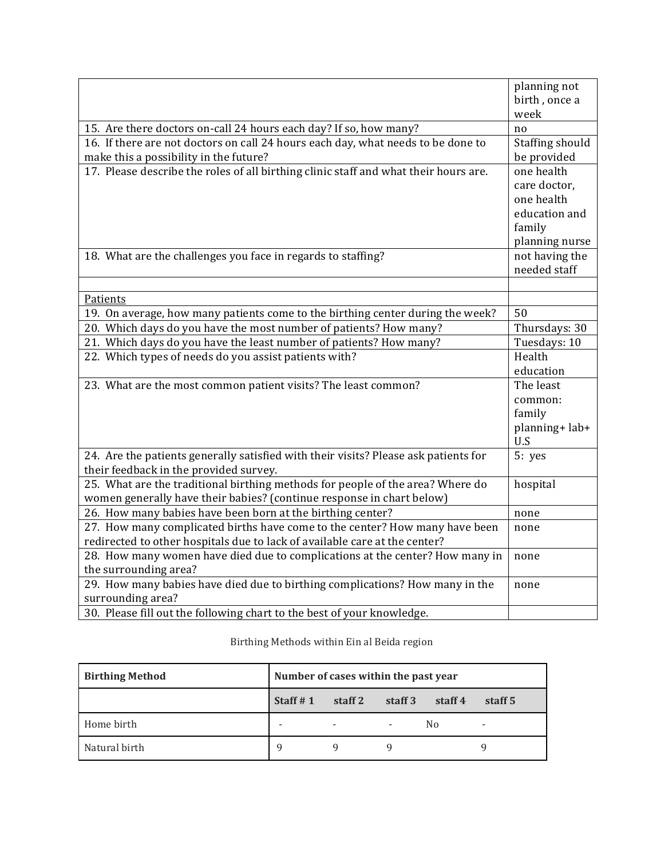|                                                                                      | planning not<br>birth, once a |
|--------------------------------------------------------------------------------------|-------------------------------|
|                                                                                      | week                          |
| 15. Are there doctors on-call 24 hours each day? If so, how many?                    | no                            |
| 16. If there are not doctors on call 24 hours each day, what needs to be done to     | Staffing should               |
| make this a possibility in the future?                                               | be provided                   |
| 17. Please describe the roles of all birthing clinic staff and what their hours are. | one health                    |
|                                                                                      | care doctor,                  |
|                                                                                      | one health                    |
|                                                                                      | education and                 |
|                                                                                      | family                        |
|                                                                                      | planning nurse                |
| 18. What are the challenges you face in regards to staffing?                         | not having the                |
|                                                                                      | needed staff                  |
|                                                                                      |                               |
| Patients                                                                             |                               |
| 19. On average, how many patients come to the birthing center during the week?       | 50                            |
| 20. Which days do you have the most number of patients? How many?                    | Thursdays: 30                 |
| 21. Which days do you have the least number of patients? How many?                   | Tuesdays: 10                  |
| 22. Which types of needs do you assist patients with?                                | Health                        |
|                                                                                      | education                     |
| 23. What are the most common patient visits? The least common?                       | The least                     |
|                                                                                      | common:                       |
|                                                                                      | family                        |
|                                                                                      | planning+lab+                 |
|                                                                                      | U.S                           |
| 24. Are the patients generally satisfied with their visits? Please ask patients for  | 5: yes                        |
| their feedback in the provided survey.                                               |                               |
| 25. What are the traditional birthing methods for people of the area? Where do       | hospital                      |
| women generally have their babies? (continue response in chart below)                |                               |
| 26. How many babies have been born at the birthing center?                           | none                          |
| 27. How many complicated births have come to the center? How many have been          | none                          |
| redirected to other hospitals due to lack of available care at the center?           |                               |
| 28. How many women have died due to complications at the center? How many in         | none                          |
| the surrounding area?                                                                |                               |
| 29. How many babies have died due to birthing complications? How many in the         | none                          |
| surrounding area?                                                                    |                               |
| 30. Please fill out the following chart to the best of your knowledge.               |                               |

## Birthing Methods within Ein al Beida region

| <b>Birthing Method</b> | Number of cases within the past year |                          |         |                |         |
|------------------------|--------------------------------------|--------------------------|---------|----------------|---------|
|                        | Staff $# 1$                          | staff 2                  | staff 3 | staff 4        | staff 5 |
| Home birth             | ۰                                    | $\overline{\phantom{a}}$ |         | N <sub>0</sub> | ۰       |
| Natural birth          | q                                    |                          |         |                |         |